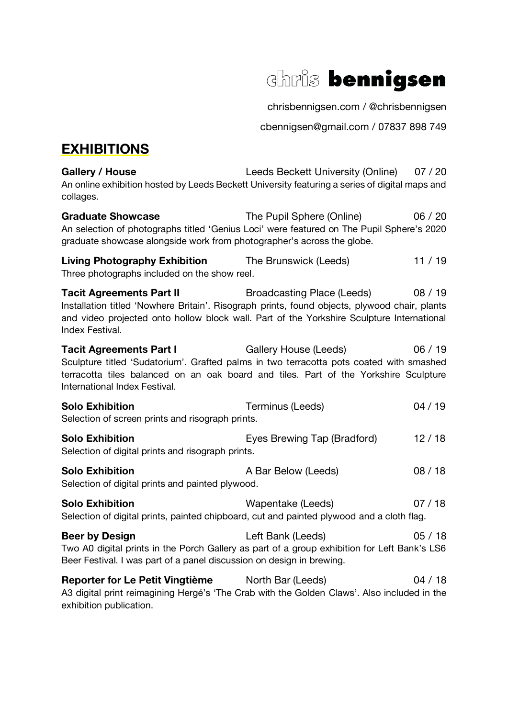

chrisbennigsen.com / @chrisbennigsen

cbennigsen@gmail.com / 07837 898 749

## **EXHIBITIONS**

Gallery / House Leeds Beckett University (Online) 07 / 20 An online exhibition hosted by Leeds Beckett University featuring a series of digital maps and collages.

Graduate Showcase The Pupil Sphere (Online) 06 / 20 An selection of photographs titled 'Genius Loci' were featured on The Pupil Sphere's 2020 graduate showcase alongside work from photographer's across the globe.

**Living Photography Exhibition** The Brunswick (Leeds) 11 / 19 Three photographs included on the show reel.

**Tacit Agreements Part II** Broadcasting Place (Leeds) 08 / 19 Installation titled 'Nowhere Britain'. Risograph prints, found objects, plywood chair, plants and video projected onto hollow block wall. Part of the Yorkshire Sculpture International Index Festival.

**Tacit Agreements Part I** Gallery House (Leeds) 06 / 19 Sculpture titled 'Sudatorium'. Grafted palms in two terracotta pots coated with smashed terracotta tiles balanced on an oak board and tiles. Part of the Yorkshire Sculpture International Index Festival.

| <b>Solo Exhibition</b>                           | Terminus (Leeds) | 04/19 |
|--------------------------------------------------|------------------|-------|
| Selection of screen prints and risograph prints. |                  |       |

| <b>Solo Exhibition</b>                            | Eyes Brewing Tap (Bradford) | 12/18 |
|---------------------------------------------------|-----------------------------|-------|
| Selection of digital prints and risograph prints. |                             |       |

| <b>Solo Exhibition</b>                           | A Bar Below (Leeds) | 08/18 |
|--------------------------------------------------|---------------------|-------|
| Selection of digital prints and painted plywood. |                     |       |

| <b>Solo Exhibition</b>                                                                    | Wapentake (Leeds) | 07 / 18 |
|-------------------------------------------------------------------------------------------|-------------------|---------|
| Selection of digital prints, painted chipboard, cut and painted plywood and a cloth flag. |                   |         |

**Beer by Design**  Left Bank (Leeds) 05 / 18 Two A0 digital prints in the Porch Gallery as part of a group exhibition for Left Bank's LS6 Beer Festival. I was part of a panel discussion on design in brewing.

**Reporter for Le Petit Vingtième** North Bar (Leeds) 04 / 18 A3 digital print reimagining Hergé's 'The Crab with the Golden Claws'. Also included in the exhibition publication.